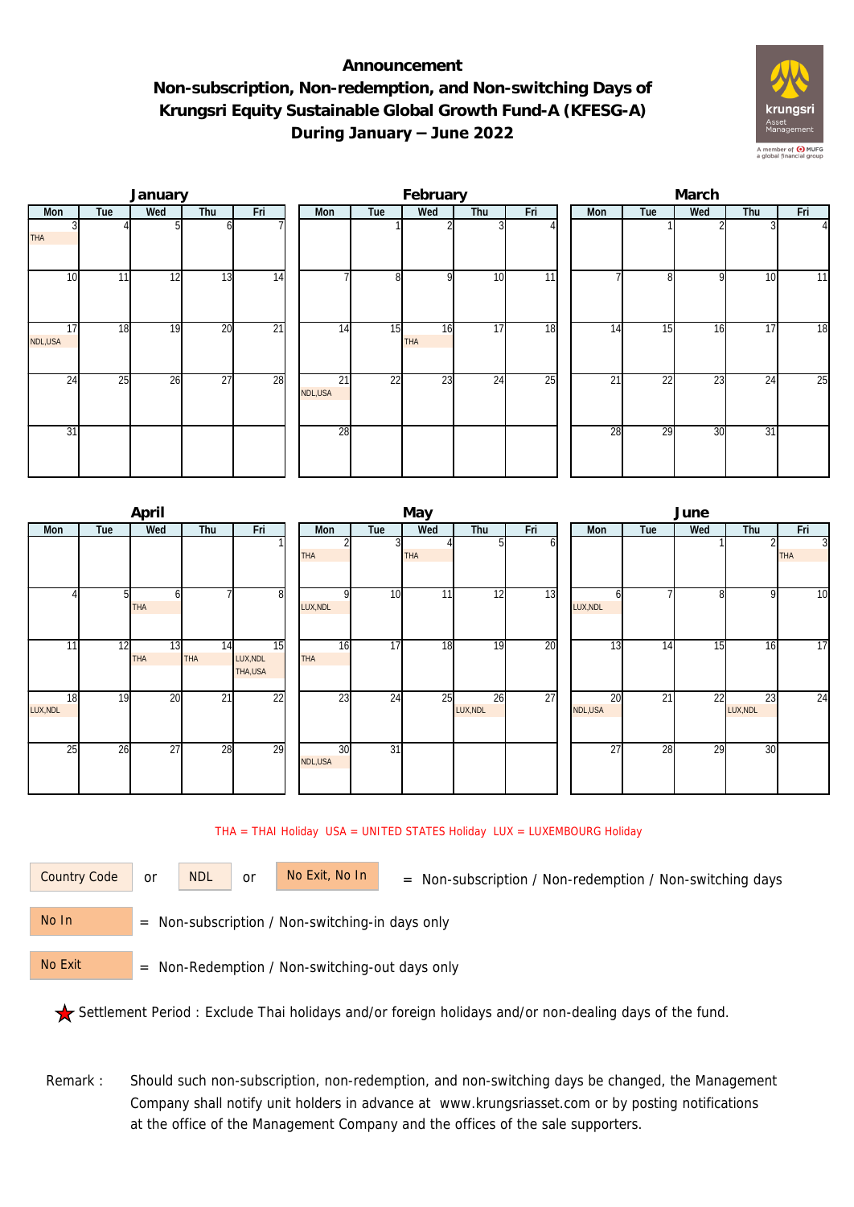## **Announcement Non-subscription, Non-redemption, and Non-switching Days of Krungsri Equity Sustainable Global Growth Fund-A (KFESG-A) During January – June 2022**



|               |     | January |                 |                 |                 |     | February         |     |     | March |              |     |                 |               |  |
|---------------|-----|---------|-----------------|-----------------|-----------------|-----|------------------|-----|-----|-------|--------------|-----|-----------------|---------------|--|
| Mon           | Tue | Wed     | Thu             | Fri             | Mon             | Tue | Wed              | Thu | Fri | Mon   | Tue          | Wed | Thu             | Fri           |  |
| <b>THA</b>    |     |         | n               |                 |                 |     |                  |     |     |       |              |     |                 | $\frac{4}{ }$ |  |
| 10            | 11  | 12      | 13              | 14              |                 | 8   | οI               | 10  | 11  |       | $\mathsf{R}$ | 9   | 10              | 11            |  |
| 17<br>NDL,USA | 18  | 19      | 20              | $\overline{21}$ | $1\overline{4}$ | 15  | 16<br><b>THA</b> | 17  | 18  | 14    | 15           | 16  | $1\overline{7}$ | 18            |  |
| 24            | 25  | 26      | $\overline{27}$ | 28              | 21<br>NDL,USA   | 22  | 23               | 24  | 25  | 21    | 22           | 23  | $2\overline{4}$ | 25            |  |
| 31            |     |         |                 |                 | 28              |     |                  |     |     | 28    | 29           | 30  | 3 <sup>1</sup>  |               |  |

|                | April                        |                        |                            |                      |                 | May        |                 |     | June     |          |     |                |                              |  |
|----------------|------------------------------|------------------------|----------------------------|----------------------|-----------------|------------|-----------------|-----|----------|----------|-----|----------------|------------------------------|--|
| Tue<br>Mon     | Wed                          | Thu                    | Fri                        | Mon                  | Tue             | Wed        | Thu             | Fri | Mon      | Tue      | Wed | Thu            | Fri                          |  |
|                |                              |                        |                            | <b>THA</b>           |                 | <b>THA</b> |                 | оl  |          |          |     |                | $\overline{3}$<br><b>THA</b> |  |
|                | 5 <sup>1</sup><br><b>THA</b> | h                      | 8                          | $\Omega$<br>LUX, NDL | 10 <sup>1</sup> | 11         | $1\overline{2}$ | 13  | LUX, NDL | n        | 8   | -91            | $\overline{10}$              |  |
| 11             | 12<br><b>THA</b>             | 13<br>14<br><b>THA</b> | 15<br>LUX, NDL<br>THA, USA | 16<br><b>THA</b>     | 17              | 18         | 19              | 20  |          | 13<br>14 | 15  | 16             | 17                           |  |
| 18<br>LUX, NDL | 19                           | $\overline{21}$<br>20  | $\overline{22}$            | 23                   | 24              | 25         | 26<br>LUX, NDL  | 27  | NDL,USA  | 20<br>21 | 22  | 23<br>LUX, NDL | 24                           |  |
| 25             | 26                           | 28<br>27               | 29                         | 30<br>NDL,USA        | $\overline{31}$ |            |                 |     |          | 27<br>28 | 29  | 30             |                              |  |

## THA = THAI Holiday USA = UNITED STATES Holiday LUX = LUXEMBOURG Holiday

or NDL or

Country Code or NDL or No Exit, No In = Non-subscription / Non-redemption / Non-switching days

 = Non-subscription / Non-switching-in days only No In

 = Non-Redemption / Non-switching-out days only No Exit

Settlement Period : Exclude Thai holidays and/or foreign holidays and/or non-dealing days of the fund.

Remark : Should such non-subscription, non-redemption, and non-switching days be changed, the Management Company shall notify unit holders in advance at www.krungsriasset.com or by posting notifications at the office of the Management Company and the offices of the sale supporters.